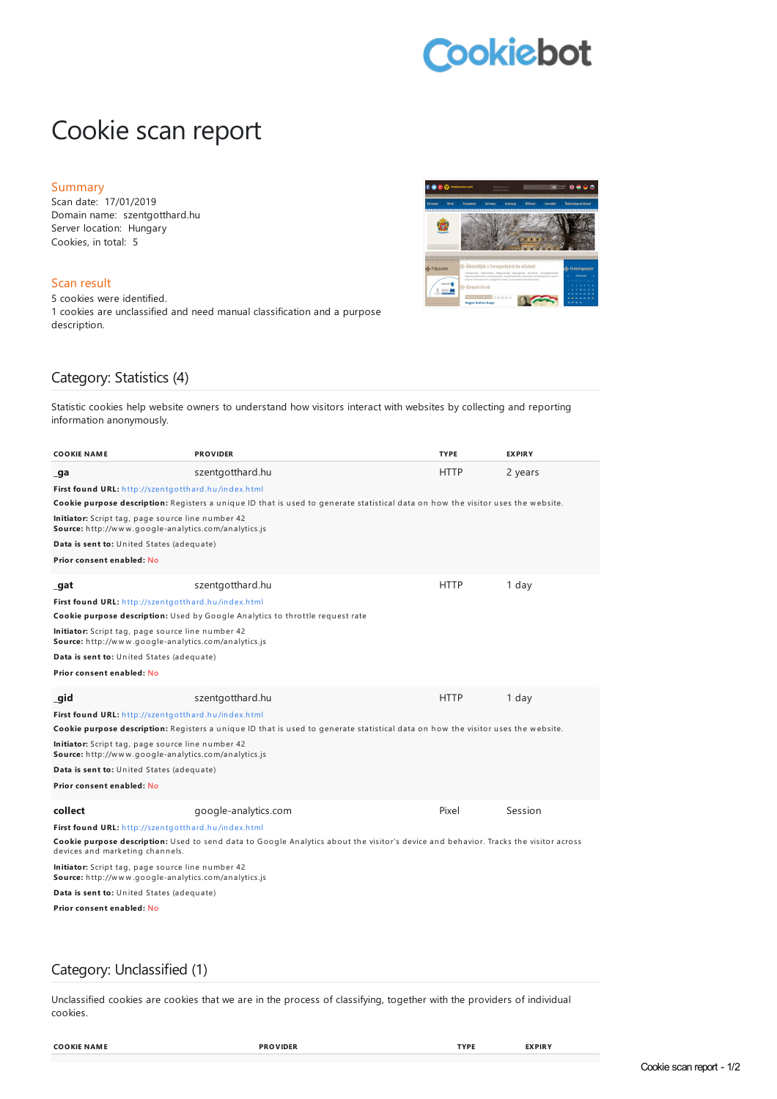# **Cookiebot**

# Cookie scan report

#### Summary

Scan date: 17/01/2019 Domain name: szentgotthard.hu Server location: Hungary Cookies, in total: 5

#### Scan result

5 cookies were identified. 1 cookies are unclassified and need manual classification and a purpose description.



## Category: Statistics (4)

Statistic cookies help website owners to understand how visitors interact with websites by collecting and reporting information anonymously.

| COOKIE NAME                                                                                                                                                                    | <b>PROVIDER</b>                                                                                                                  | <b>TYPE</b> | <b>EXPIRY</b> |  |  |
|--------------------------------------------------------------------------------------------------------------------------------------------------------------------------------|----------------------------------------------------------------------------------------------------------------------------------|-------------|---------------|--|--|
| ga                                                                                                                                                                             | szentgotthard.hu                                                                                                                 | <b>HTTP</b> | 2 years       |  |  |
| First found URL: http://szentgotthard.hu/index.html                                                                                                                            |                                                                                                                                  |             |               |  |  |
|                                                                                                                                                                                | Cookie purpose description: Registers a unique ID that is used to generate statistical data on how the visitor uses the website. |             |               |  |  |
| Initiator: Script tag, page source line number 42<br><b>Source:</b> http://www.google-analytics.com/analytics.js                                                               |                                                                                                                                  |             |               |  |  |
| Data is sent to: United States (adequate)                                                                                                                                      |                                                                                                                                  |             |               |  |  |
| Prior consent enabled: No                                                                                                                                                      |                                                                                                                                  |             |               |  |  |
|                                                                                                                                                                                |                                                                                                                                  |             |               |  |  |
| gat                                                                                                                                                                            | szentgotthard.hu                                                                                                                 | <b>HTTP</b> | 1 day         |  |  |
| First found URL: http://szentgotthard.hu/index.html                                                                                                                            |                                                                                                                                  |             |               |  |  |
|                                                                                                                                                                                | Cookie purpose description: Used by Google Analytics to throttle request rate                                                    |             |               |  |  |
| <b>Initiator:</b> Script tag, page source line number 42<br><b>Source:</b> http://www.google-analytics.com/analytics.js                                                        |                                                                                                                                  |             |               |  |  |
| Data is sent to: United States (adequate)                                                                                                                                      |                                                                                                                                  |             |               |  |  |
| Prior consent enabled: No                                                                                                                                                      |                                                                                                                                  |             |               |  |  |
| _gid                                                                                                                                                                           | szentgotthard.hu                                                                                                                 | <b>HTTP</b> | 1 day         |  |  |
| First found URL: http://szentgotthard.hu/index.html                                                                                                                            |                                                                                                                                  |             |               |  |  |
| Cookie purpose description: Registers a unique ID that is used to generate statistical data on how the visitor uses the website.                                               |                                                                                                                                  |             |               |  |  |
| Initiator: Script tag, page source line number 42<br><b>Source:</b> http://www.google-analytics.com/analytics.js                                                               |                                                                                                                                  |             |               |  |  |
| Data is sent to: United States (adequate)                                                                                                                                      |                                                                                                                                  |             |               |  |  |
| Prior consent enabled: No                                                                                                                                                      |                                                                                                                                  |             |               |  |  |
| collect                                                                                                                                                                        | google-analytics.com                                                                                                             | Pixel       | Session       |  |  |
| First found URL: http://szentgotthard.hu/index.html                                                                                                                            |                                                                                                                                  |             |               |  |  |
| <b>Cookie purpose description:</b> Used to send data to Google Analytics about the visitor's device and behavior. Tracks the visitor across<br>devices and marketing channels. |                                                                                                                                  |             |               |  |  |
| Initiator: Script tag, page source line number 42<br>Source: http://www.google-analytics.com/analytics.js                                                                      |                                                                                                                                  |             |               |  |  |
| Data is sent to: United States (adequate)                                                                                                                                      |                                                                                                                                  |             |               |  |  |
| Prior consent enabled: No                                                                                                                                                      |                                                                                                                                  |             |               |  |  |
|                                                                                                                                                                                |                                                                                                                                  |             |               |  |  |
|                                                                                                                                                                                |                                                                                                                                  |             |               |  |  |

### Category: Unclassified (1)

Unclassified cookies are cookies that we are in the process of classifying, together with the providers of individual cookies.